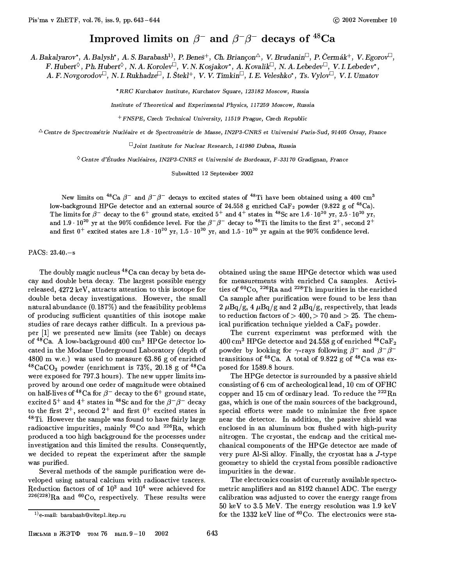## Improved limits on  $\beta^-$  and  $\beta^- \beta^-$  decays of <sup>48</sup>Ca

A. Bakalyarov\*, A. Balysh\*, A. S. Barabash<sup>1)</sup>, P. Beneš<sup>+</sup>, Ch. Briançon<sup> $\triangle$ </sup>, V. Brudanin<sup> $\Box$ </sup>, P. Čermák<sup>+</sup>, V. Egorov $\Box$ ,  $F. \ Hubert^{\lozenge}, Ph. \ Hubert^{\lozenge}, N. A. Korolev^{\square}, V. N. Kosjakov^*, A. Kovalik^{\square}, N. A. Lebedev^{\square}, V. I. Lebedev^*,$ A. F. Novgorodov<sup> $\Box$ </sup>, N. I. Rukhadze<sup> $\Box$ </sup>, I. Štekl<sup>+</sup>, V. V. Timkin<sup> $\Box$ </sup>, I. E. Veleshko\*, Ts. Vylov $\Box$ , V. I. Umatov

\*RRC Kurchatov Institute, Kurchatov Square, 123182 Moscow, Russia

Institute of Theoretical and Experimental Physics, 117259 Moscow, Russia

+ FNSPE, Czech Technical University, 11519 Prague, Czech Republic

 $\triangle$ Centre de Spectrométrie Nucléaire et de Spectrométrie de Masse, IN2P3-CNRS et Université Paris-Sud, 91405 Orsay, France

 $\Box$  Joint Institute for Nuclear Research, 141980 Dubna, Russia

 $\Diamond$  Centre d'Études Nucléaires, IN2P3-CNRS et Université de Bordeaux, F-33170 Gradignan, France

Submitted 12 September 2002

New limits on <sup>48</sup>Ca  $\beta^-$  and  $\beta^- \beta^-$  decays to excited states of <sup>48</sup>Ti have been obtained using a 400 cm<sup>3</sup> low-background HPGe detector and an external source of 24.558 g enriched CaF<sub>2</sub> powder (9.822 g of <sup>48</sup>Ca). The limits for  $\beta^-$  decay to the 6<sup>+</sup> ground state, excited 5<sup>+</sup> and 4<sup>+</sup> states in <sup>48</sup>Sc are 1.6 10<sup>20</sup> yr, 2.5 10<sup>20</sup> yr, and 1.9 · 10<sup>20</sup> yr at the 90% confidence level. For the  $\beta^{-}\beta^{-}$  decay to <sup>48</sup>Ti the limits to the first 2<sup>+</sup>, second 2<sup>+</sup> and first  $0^+$  excited states are 1.8  $\cdot 10^{20}$  yr, 1.5  $\cdot 10^{20}$  yr, and 1.5  $\cdot 10^{20}$  yr again at the 90% confidence level.

## PACS: 23.40 - s

The doubly magic nucleus <sup>48</sup>Ca can decay by beta decay and double beta decay. The largest possible energy released, 4272 keV, attracts attention to this isotope for double beta decay investigations. However, the small natural abundance  $(0.187\%)$  and the feasibility problems of producing sufficient quantities of this isotope make studies of rare decays rather difficult. In a previous paper [1] we presented new limits (see Table) on decays of <sup>48</sup>Ca. A low-background 400 cm<sup>3</sup> HPGe detector located in the Modane Underground Laboratory (depth of 4800 m w.e.) was used to measure 63.86 g of enriched <sup>48</sup>CaCO<sub>3</sub> powder (enrichment is 73%, 20.18 g of <sup>48</sup>Ca were exposed for 797.3 hours). The new upper limits improved by around one order of magnitude were obtained on half-lives of <sup>48</sup>Ca for  $\beta$ <sup>-</sup> decay to the 6<sup>+</sup> ground state, excited 5<sup>+</sup> and 4<sup>+</sup> states in <sup>48</sup>Sc and for the  $\beta$ <sup>-</sup> $\beta$ <sup>-</sup> decay to the first  $2^+$ , second  $2^+$  and first  $0^+$  excited states in  $48$  Ti. However the sample was found to have fairly large radioactive impurities, mainly  ${}^{60}Co$  and  ${}^{226}Ra$ , which produced a too high background for the processes under investigation and this limited the results. Consequently, we decided to repeat the experiment after the sample was purified.

Several methods of the sample purification were developed using natural calcium with radioactive tracers. Reduction factors of of  $10^3$  and  $10^4$  were achieved for  $^{226(228)}$ Ra and <sup>60</sup>Co, respectively. These results were

Письма в ЖЭТФ том 76 вып.  $9-10$ 2002 obtained using the same HPGe detector which was used for measurements with enriched Ca samples. Activities of  ${}^{60}Co$ ,  ${}^{226}Ra$  and  ${}^{228}Th$  impurities in the enriched Ca sample after purification were found to be less than 2  $\mu$ Bq/g, 4  $\mu$ Bq/g and 2  $\mu$ Bq/g, respectively, that leads to reduction factors of  $>$  400,  $>$  70 and  $>$  25. The chemical purification technique yielded a CaF<sub>2</sub> powder.

The current experiment was performed with the 400 cm<sup>3</sup> HPGe detector and 24.558 g of enriched  $^{48}CaF_2$ powder by looking for  $\gamma$ -rays following  $\beta^-$  and  $\beta^- \beta^$ transitions of <sup>48</sup>Ca. A total of 9.822 g of <sup>48</sup>Ca was exposed for 1589.8 hours.

The HPGe detector is surrounded by a passive shield consisting of 6 cm of archeological lead, 10 cm of OFHC copper and 15 cm of ordinary lead. To reduce the  $^{222}$ Rn gas, which is one of the main sources of the background, special efforts were made to minimize the free space near the detector. In addition, the passive shield was enclosed in an aluminum box flushed with high-purity nitrogen. The cryostat, the endcap and the critical mechanical components of the HPGe detector are made of very pure Al-Si alloy. Finally, the cryostat has a  $J$ -type geometry to shield the crystal from possible radioactive impurities in the dewar.

The electronics consist of currently available spectrometric amplifiers and an 8192 channel ADC. The energy calibration was adjusted to cover the energy range from 50 keV to 3.5 MeV. The energy resolution was 1.9 keV for the 1332 keV line of  ${}^{60}Co$ . The electronics were sta-

 $^{(1)}$ e-mail: barabash@vitep1.itep.ru